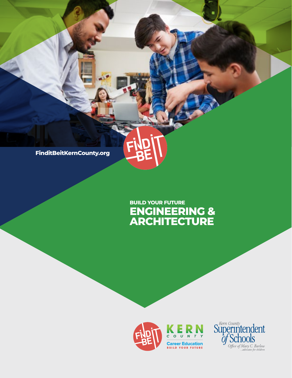**FinditBeitKernCounty.org**

## **ENGINEERING & ARCHITECTURE BUILD YOUR FUTURE**